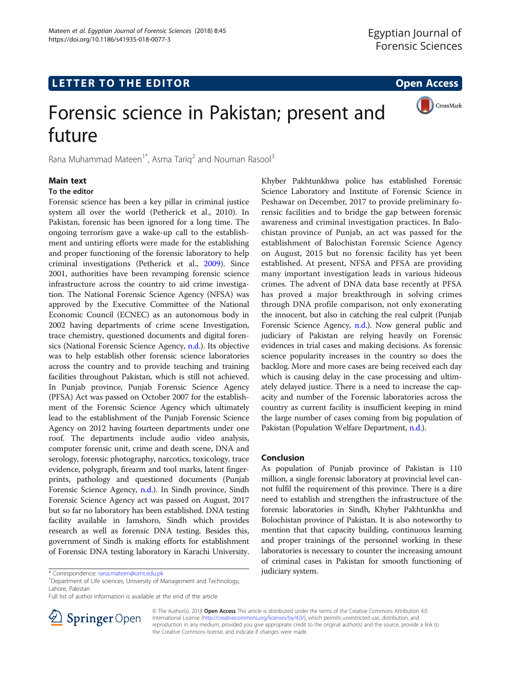

# Forensic science in Pakistan; present and future

Rana Muhammad Mateen<sup>1\*</sup>, Asma Tarig<sup>2</sup> and Nouman Rasool<sup>3</sup>

## Main text

# To the editor

Forensic science has been a key pillar in criminal justice system all over the world (Petherick et al., 2010). In Pakistan, forensic has been ignored for a long time. The ongoing terrorism gave a wake-up call to the establishment and untiring efforts were made for the establishing and proper functioning of the forensic laboratory to help criminal investigations (Petherick et al., [2009](#page-1-0)). Since 2001, authorities have been revamping forensic science infrastructure across the country to aid crime investigation. The National Forensic Science Agency (NFSA) was approved by the Executive Committee of the National Economic Council (ECNEC) as an autonomous body in 2002 having departments of crime scene Investigation, trace chemistry, questioned documents and digital forensics (National Forensic Science Agency, [n.d.\)](#page-1-0). Its objective was to help establish other forensic science laboratories across the country and to provide teaching and training facilities throughout Pakistan, which is still not achieved. In Punjab province, Punjab Forensic Science Agency (PFSA) Act was passed on October 2007 for the establishment of the Forensic Science Agency which ultimately lead to the establishment of the Punjab Forensic Science Agency on 2012 having fourteen departments under one roof. The departments include audio video analysis, computer forensic unit, crime and death scene, DNA and serology, forensic photography, narcotics, toxicology, trace evidence, polygraph, firearm and tool marks, latent fingerprints, pathology and questioned documents (Punjab Forensic Science Agency, [n.d.\)](#page-1-0). In Sindh province, Sindh Forensic Science Agency act was passed on August, 2017 but so far no laboratory has been established. DNA testing facility available in Jamshoro, Sindh which provides research as well as forensic DNA testing. Besides this, government of Sindh is making efforts for establishment of Forensic DNA testing laboratory in Karachi University.

judiciary system. \* Correspondence: [rana.mateen@umt.edu.pk](mailto:rana.mateen@umt.edu.pk) <sup>1</sup> Department of Life sciences, University of Management and Technology, Lahore, Pakistan

Full list of author information is available at the end of the article



Khyber Pakhtunkhwa police has established Forensic Science Laboratory and Institute of Forensic Science in Peshawar on December, 2017 to provide preliminary forensic facilities and to bridge the gap between forensic awareness and criminal investigation practices. In Balochistan province of Punjab, an act was passed for the establishment of Balochistan Forensic Science Agency on August, 2015 but no forensic facility has yet been established. At present, NFSA and PFSA are providing many important investigation leads in various hideous crimes. The advent of DNA data base recently at PFSA has proved a major breakthrough in solving crimes through DNA profile comparison, not only exonerating the innocent, but also in catching the real culprit (Punjab Forensic Science Agency, [n.d.](#page-1-0)). Now general public and judiciary of Pakistan are relying heavily on Forensic evidences in trial cases and making decisions. As forensic science popularity increases in the country so does the backlog. More and more cases are being received each day which is causing delay in the case processing and ultimately delayed justice. There is a need to increase the capacity and number of the Forensic laboratories across the country as current facility is insufficient keeping in mind the large number of cases coming from big population of Pakistan (Population Welfare Department, [n.d.\)](#page-1-0).

## Conclusion

As population of Punjab province of Pakistan is 110 million, a single forensic laboratory at provincial level cannot fulfil the requirement of this province. There is a dire need to establish and strengthen the infrastructure of the forensic laboratories in Sindh, Khyber Pakhtunkha and Bolochistan province of Pakistan. It is also noteworthy to mention that that capacity building, continuous learning and proper trainings of the personnel working in these laboratories is necessary to counter the increasing amount of criminal cases in Pakistan for smooth functioning of

© The Author(s). 2018 Open Access This article is distributed under the terms of the Creative Commons Attribution 4.0 International License ([http://creativecommons.org/licenses/by/4.0/\)](http://creativecommons.org/licenses/by/4.0/), which permits unrestricted use, distribution, and reproduction in any medium, provided you give appropriate credit to the original author(s) and the source, provide a link to the Creative Commons license, and indicate if changes were made.